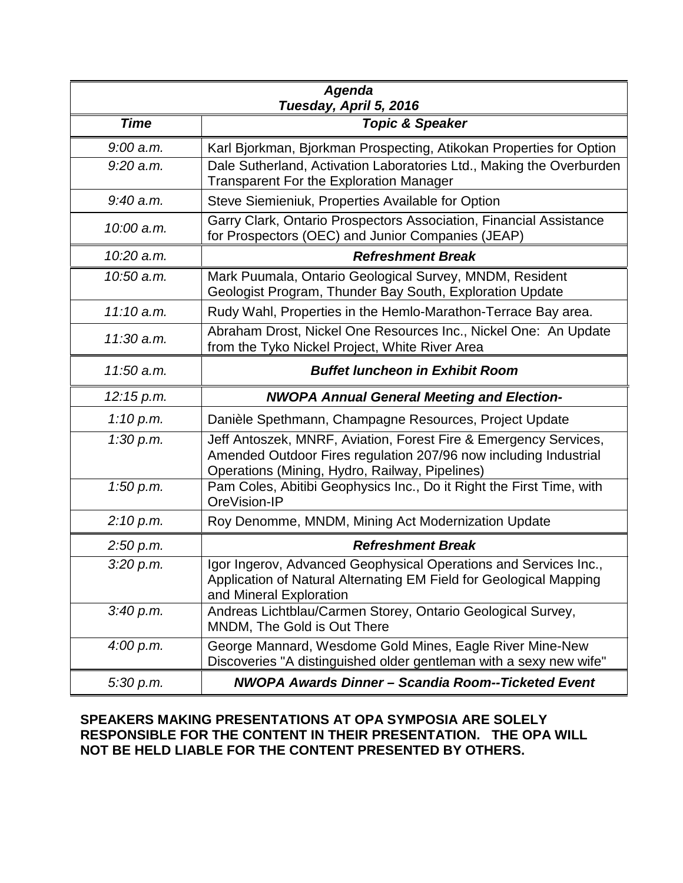| <b>Agenda</b><br>Tuesday, April 5, 2016 |                                                                                                                                                                   |
|-----------------------------------------|-------------------------------------------------------------------------------------------------------------------------------------------------------------------|
| <b>Time</b>                             | <b>Topic &amp; Speaker</b>                                                                                                                                        |
| $9:00$ a.m.                             | Karl Bjorkman, Bjorkman Prospecting, Atikokan Properties for Option                                                                                               |
| $9:20$ a.m.                             | Dale Sutherland, Activation Laboratories Ltd., Making the Overburden<br><b>Transparent For the Exploration Manager</b>                                            |
| $9:40$ a.m.                             | Steve Siemieniuk, Properties Available for Option                                                                                                                 |
| 10:00 a.m.                              | Garry Clark, Ontario Prospectors Association, Financial Assistance<br>for Prospectors (OEC) and Junior Companies (JEAP)                                           |
| 10:20 a.m.                              | <b>Refreshment Break</b>                                                                                                                                          |
| 10:50 a.m.                              | Mark Puumala, Ontario Geological Survey, MNDM, Resident<br>Geologist Program, Thunder Bay South, Exploration Update                                               |
| $11:10$ a.m.                            | Rudy Wahl, Properties in the Hemlo-Marathon-Terrace Bay area.                                                                                                     |
| 11:30 a.m.                              | Abraham Drost, Nickel One Resources Inc., Nickel One: An Update<br>from the Tyko Nickel Project, White River Area                                                 |
| 11:50 a.m.                              | <b>Buffet luncheon in Exhibit Room</b>                                                                                                                            |
|                                         |                                                                                                                                                                   |
| 12:15 p.m.                              | <b>NWOPA Annual General Meeting and Election-</b>                                                                                                                 |
| 1:10 p.m.                               | Danièle Spethmann, Champagne Resources, Project Update                                                                                                            |
| 1:30 p.m.                               | Jeff Antoszek, MNRF, Aviation, Forest Fire & Emergency Services,<br>Amended Outdoor Fires regulation 207/96 now including Industrial                              |
| 1:50 p.m.                               | Operations (Mining, Hydro, Railway, Pipelines)<br>Pam Coles, Abitibi Geophysics Inc., Do it Right the First Time, with<br>OreVision-IP                            |
| 2:10 p.m.                               | Roy Denomme, MNDM, Mining Act Modernization Update                                                                                                                |
| 2:50 p.m.                               | <b>Refreshment Break</b>                                                                                                                                          |
| 3:20 p.m.                               | Igor Ingerov, Advanced Geophysical Operations and Services Inc.,<br>Application of Natural Alternating EM Field for Geological Mapping<br>and Mineral Exploration |
| 3:40 p.m.                               | Andreas Lichtblau/Carmen Storey, Ontario Geological Survey,<br>MNDM, The Gold is Out There                                                                        |
| 4:00 p.m.                               | George Mannard, Wesdome Gold Mines, Eagle River Mine-New<br>Discoveries "A distinguished older gentleman with a sexy new wife"                                    |

## **SPEAKERS MAKING PRESENTATIONS AT OPA SYMPOSIA ARE SOLELY RESPONSIBLE FOR THE CONTENT IN THEIR PRESENTATION. THE OPA WILL NOT BE HELD LIABLE FOR THE CONTENT PRESENTED BY OTHERS.**